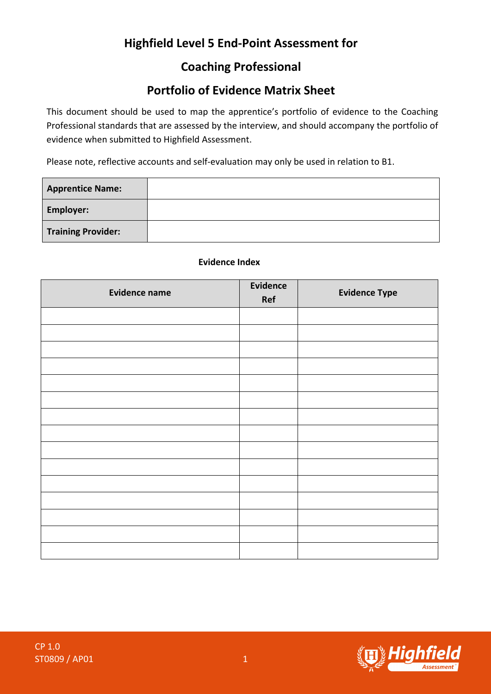# **Highfield Level 5 End-Point Assessment for**

## **Coaching Professional**

## **Portfolio of Evidence Matrix Sheet**

This document should be used to map the apprentice's portfolio of evidence to the Coaching Professional standards that are assessed by the interview, and should accompany the portfolio of evidence when submitted to Highfield Assessment.

Please note, reflective accounts and self-evaluation may only be used in relation to B1.

| <b>Apprentice Name:</b>   |  |
|---------------------------|--|
| <b>Employer:</b>          |  |
| <b>Training Provider:</b> |  |

#### **Evidence Index**

| <b>Evidence name</b> | Evidence<br>Ref | <b>Evidence Type</b> |
|----------------------|-----------------|----------------------|
|                      |                 |                      |
|                      |                 |                      |
|                      |                 |                      |
|                      |                 |                      |
|                      |                 |                      |
|                      |                 |                      |
|                      |                 |                      |
|                      |                 |                      |
|                      |                 |                      |
|                      |                 |                      |
|                      |                 |                      |
|                      |                 |                      |
|                      |                 |                      |
|                      |                 |                      |
|                      |                 |                      |

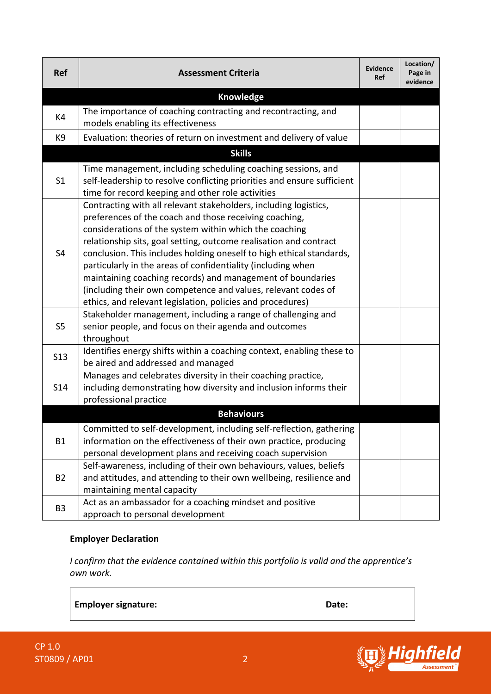| <b>Ref</b>        | <b>Assessment Criteria</b>                                                                                                                                                                                                                                                                                                                                                                                                                                                                                                                                                                     | <b>Evidence</b><br><b>Ref</b> | Location/<br>Page in<br>evidence |  |  |  |
|-------------------|------------------------------------------------------------------------------------------------------------------------------------------------------------------------------------------------------------------------------------------------------------------------------------------------------------------------------------------------------------------------------------------------------------------------------------------------------------------------------------------------------------------------------------------------------------------------------------------------|-------------------------------|----------------------------------|--|--|--|
| Knowledge         |                                                                                                                                                                                                                                                                                                                                                                                                                                                                                                                                                                                                |                               |                                  |  |  |  |
| K4                | The importance of coaching contracting and recontracting, and<br>models enabling its effectiveness                                                                                                                                                                                                                                                                                                                                                                                                                                                                                             |                               |                                  |  |  |  |
| K9                | Evaluation: theories of return on investment and delivery of value                                                                                                                                                                                                                                                                                                                                                                                                                                                                                                                             |                               |                                  |  |  |  |
|                   | <b>Skills</b>                                                                                                                                                                                                                                                                                                                                                                                                                                                                                                                                                                                  |                               |                                  |  |  |  |
| S <sub>1</sub>    | Time management, including scheduling coaching sessions, and<br>self-leadership to resolve conflicting priorities and ensure sufficient<br>time for record keeping and other role activities                                                                                                                                                                                                                                                                                                                                                                                                   |                               |                                  |  |  |  |
| S4                | Contracting with all relevant stakeholders, including logistics,<br>preferences of the coach and those receiving coaching,<br>considerations of the system within which the coaching<br>relationship sits, goal setting, outcome realisation and contract<br>conclusion. This includes holding oneself to high ethical standards,<br>particularly in the areas of confidentiality (including when<br>maintaining coaching records) and management of boundaries<br>(including their own competence and values, relevant codes of<br>ethics, and relevant legislation, policies and procedures) |                               |                                  |  |  |  |
| S <sub>5</sub>    | Stakeholder management, including a range of challenging and<br>senior people, and focus on their agenda and outcomes<br>throughout                                                                                                                                                                                                                                                                                                                                                                                                                                                            |                               |                                  |  |  |  |
| <b>S13</b>        | Identifies energy shifts within a coaching context, enabling these to<br>be aired and addressed and managed                                                                                                                                                                                                                                                                                                                                                                                                                                                                                    |                               |                                  |  |  |  |
| <b>S14</b>        | Manages and celebrates diversity in their coaching practice,<br>including demonstrating how diversity and inclusion informs their<br>professional practice                                                                                                                                                                                                                                                                                                                                                                                                                                     |                               |                                  |  |  |  |
| <b>Behaviours</b> |                                                                                                                                                                                                                                                                                                                                                                                                                                                                                                                                                                                                |                               |                                  |  |  |  |
| <b>B1</b>         | Committed to self-development, including self-reflection, gathering<br>information on the effectiveness of their own practice, producing<br>personal development plans and receiving coach supervision                                                                                                                                                                                                                                                                                                                                                                                         |                               |                                  |  |  |  |
| <b>B2</b>         | Self-awareness, including of their own behaviours, values, beliefs<br>and attitudes, and attending to their own wellbeing, resilience and<br>maintaining mental capacity                                                                                                                                                                                                                                                                                                                                                                                                                       |                               |                                  |  |  |  |
| B <sub>3</sub>    | Act as an ambassador for a coaching mindset and positive<br>approach to personal development                                                                                                                                                                                                                                                                                                                                                                                                                                                                                                   |                               |                                  |  |  |  |

### **Employer Declaration**

*I confirm that the evidence contained within this portfolio is valid and the apprentice's own work.*

**Employer signature: Date:**